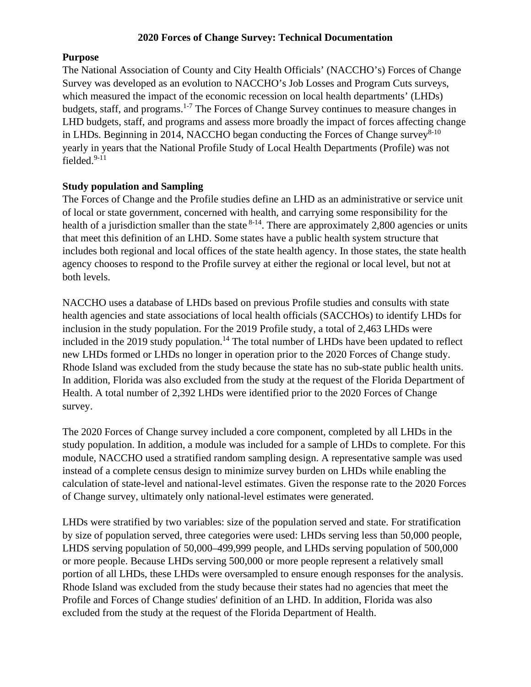#### **Purpose**

The National Association of County and City Health Officials' (NACCHO's) Forces of Change Survey was developed as an evolution to NACCHO's Job Losses and Program Cuts surveys, which measured the impact of the economic recession on local health departments' (LHDs) budgets, staff, and programs.<sup>1-7</sup> The Forces of Change Survey continues to measure changes in LHD budgets, staff, and programs and assess more broadly the impact of forces affecting change in LHDs. Beginning in 2014, NACCHO began conducting the Forces of Change survey<sup>8-10</sup> yearly in years that the National Profile Study of Local Health Departments (Profile) was not fielded. $9-11$ 

#### **Study population and Sampling**

The Forces of Change and the Profile studies define an LHD as an administrative or service unit of local or state government, concerned with health, and carrying some responsibility for the health of a jurisdiction smaller than the state  $8-14$ . There are approximately 2,800 agencies or units that meet this definition of an LHD. Some states have a public health system structure that includes both regional and local offices of the state health agency. In those states, the state health agency chooses to respond to the Profile survey at either the regional or local level, but not at both levels.

NACCHO uses a database of LHDs based on previous Profile studies and consults with state health agencies and state associations of local health officials (SACCHOs) to identify LHDs for inclusion in the study population. For the 2019 Profile study, a total of 2,463 LHDs were included in the 2019 study population.<sup>14</sup> The total number of LHDs have been updated to reflect new LHDs formed or LHDs no longer in operation prior to the 2020 Forces of Change study. Rhode Island was excluded from the study because the state has no sub-state public health units. In addition, Florida was also excluded from the study at the request of the Florida Department of Health. A total number of 2,392 LHDs were identified prior to the 2020 Forces of Change survey.

The 2020 Forces of Change survey included a core component, completed by all LHDs in the study population. In addition, a module was included for a sample of LHDs to complete. For this module, NACCHO used a stratified random sampling design. A representative sample was used instead of a complete census design to minimize survey burden on LHDs while enabling the calculation of state-level and national‐level estimates. Given the response rate to the 2020 Forces of Change survey, ultimately only national-level estimates were generated.

LHDs were stratified by two variables: size of the population served and state. For stratification by size of population served, three categories were used: LHDs serving less than 50,000 people, LHDS serving population of 50,000–499,999 people, and LHDs serving population of 500,000 or more people. Because LHDs serving 500,000 or more people represent a relatively small portion of all LHDs, these LHDs were oversampled to ensure enough responses for the analysis. Rhode Island was excluded from the study because their states had no agencies that meet the Profile and Forces of Change studies' definition of an LHD. In addition, Florida was also excluded from the study at the request of the Florida Department of Health.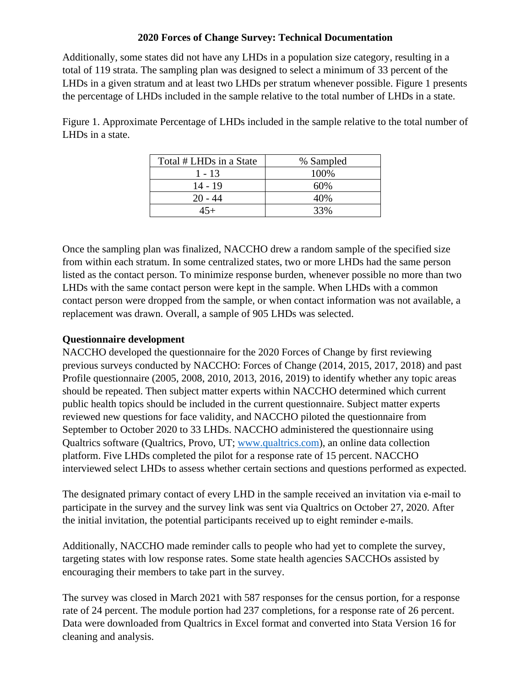Additionally, some states did not have any LHDs in a population size category, resulting in a total of 119 strata. The sampling plan was designed to select a minimum of 33 percent of the LHDs in a given stratum and at least two LHDs per stratum whenever possible. Figure 1 presents the percentage of LHDs included in the sample relative to the total number of LHDs in a state.

Figure 1. Approximate Percentage of LHDs included in the sample relative to the total number of LHDs in a state.

| Total # LHDs in a State | % Sampled |
|-------------------------|-----------|
| 1 - 13                  | 100\%     |
| 14 - 19                 | 60%       |
| $20 - 44$               | 40%       |
|                         | 33%       |

Once the sampling plan was finalized, NACCHO drew a random sample of the specified size from within each stratum. In some centralized states, two or more LHDs had the same person listed as the contact person. To minimize response burden, whenever possible no more than two LHDs with the same contact person were kept in the sample. When LHDs with a common contact person were dropped from the sample, or when contact information was not available, a replacement was drawn. Overall, a sample of 905 LHDs was selected.

### **Questionnaire development**

NACCHO developed the questionnaire for the 2020 Forces of Change by first reviewing previous surveys conducted by NACCHO: Forces of Change (2014, 2015, 2017, 2018) and past Profile questionnaire (2005, 2008, 2010, 2013, 2016, 2019) to identify whether any topic areas should be repeated. Then subject matter experts within NACCHO determined which current public health topics should be included in the current questionnaire. Subject matter experts reviewed new questions for face validity, and NACCHO piloted the questionnaire from September to October 2020 to 33 LHDs. NACCHO administered the questionnaire using Qualtrics software (Qualtrics, Provo, UT; [www.qualtrics.com\)](http://www.qualtrics.com/), an online data collection platform. Five LHDs completed the pilot for a response rate of 15 percent. NACCHO interviewed select LHDs to assess whether certain sections and questions performed as expected.

The designated primary contact of every LHD in the sample received an invitation via e-mail to participate in the survey and the survey link was sent via Qualtrics on October 27, 2020. After the initial invitation, the potential participants received up to eight reminder e-mails.

Additionally, NACCHO made reminder calls to people who had yet to complete the survey, targeting states with low response rates. Some state health agencies SACCHOs assisted by encouraging their members to take part in the survey.

The survey was closed in March 2021 with 587 responses for the census portion, for a response rate of 24 percent. The module portion had 237 completions, for a response rate of 26 percent. Data were downloaded from Qualtrics in Excel format and converted into Stata Version 16 for cleaning and analysis.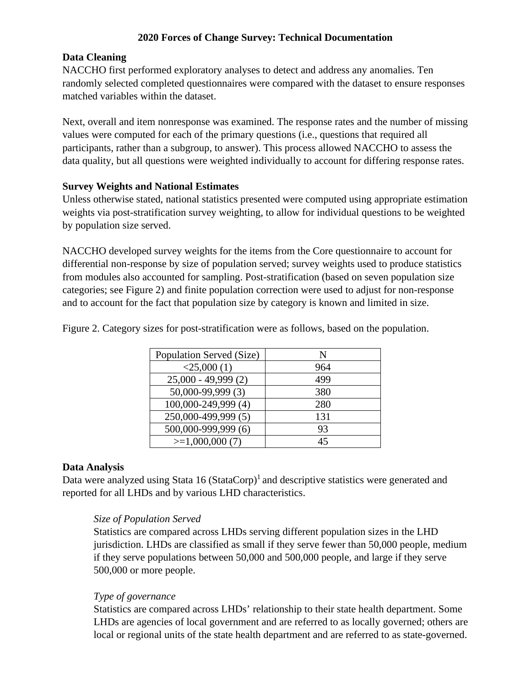## **Data Cleaning**

NACCHO first performed exploratory analyses to detect and address any anomalies. Ten randomly selected completed questionnaires were compared with the dataset to ensure responses matched variables within the dataset.

Next, overall and item nonresponse was examined. The response rates and the number of missing values were computed for each of the primary questions (i.e., questions that required all participants, rather than a subgroup, to answer). This process allowed NACCHO to assess the data quality, but all questions were weighted individually to account for differing response rates.

### **Survey Weights and National Estimates**

Unless otherwise stated, national statistics presented were computed using appropriate estimation weights via post-stratification survey weighting, to allow for individual questions to be weighted by population size served.

NACCHO developed survey weights for the items from the Core questionnaire to account for differential non-response by size of population served; survey weights used to produce statistics from modules also accounted for sampling. Post-stratification (based on seven population size categories; see Figure 2) and finite population correction were used to adjust for non-response and to account for the fact that population size by category is known and limited in size.

| Population Served (Size) | N   |
|--------------------------|-----|
| $<$ 25,000 $(1)$         | 964 |
| $25,000 - 49,999(2)$     | 499 |
| 50,000-99,999 (3)        | 380 |
| 100,000-249,999 (4)      | 280 |
| 250,000-499,999 (5)      | 131 |
| 500,000-999,999 (6)      | 93  |
| $>=1,000,000(7)$         | 45  |

Figure 2. Category sizes for post-stratification were as follows, based on the population.

# **Data Analysis**

Data were analyzed using Stata 16 (StataCorp)<sup>1</sup> and descriptive statistics were generated and reported for all LHDs and by various LHD characteristics.

### *Size of Population Served*

Statistics are compared across LHDs serving different population sizes in the LHD jurisdiction. LHDs are classified as small if they serve fewer than 50,000 people, medium if they serve populations between 50,000 and 500,000 people, and large if they serve 500,000 or more people.

### *Type of governance*

Statistics are compared across LHDs' relationship to their state health department. Some LHDs are agencies of local government and are referred to as locally governed; others are local or regional units of the state health department and are referred to as state-governed.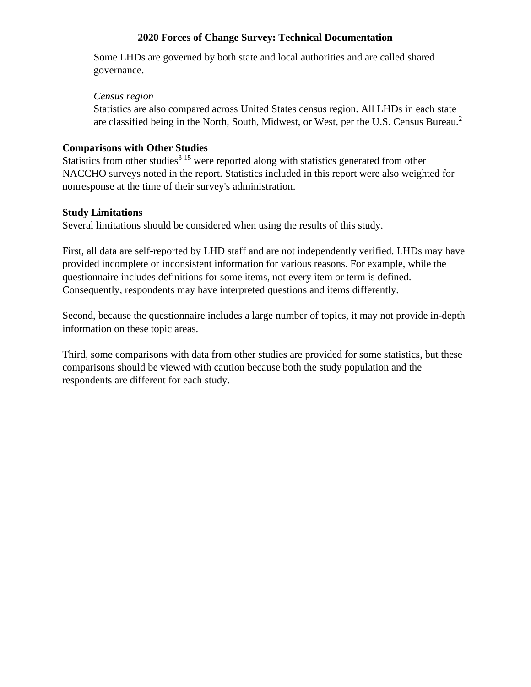Some LHDs are governed by both state and local authorities and are called shared governance.

#### *Census region*

Statistics are also compared across United States census region. All LHDs in each state are classified being in the North, South, Midwest, or West, per the U.S. Census Bureau. 2

## **Comparisons with Other Studies**

Statistics from other studies<sup>3-15</sup> were reported along with statistics generated from other NACCHO surveys noted in the report. Statistics included in this report were also weighted for nonresponse at the time of their survey's administration.

## **Study Limitations**

Several limitations should be considered when using the results of this study.

First, all data are self-reported by LHD staff and are not independently verified. LHDs may have provided incomplete or inconsistent information for various reasons. For example, while the questionnaire includes definitions for some items, not every item or term is defined. Consequently, respondents may have interpreted questions and items differently.

Second, because the questionnaire includes a large number of topics, it may not provide in-depth information on these topic areas.

Third, some comparisons with data from other studies are provided for some statistics, but these comparisons should be viewed with caution because both the study population and the respondents are different for each study.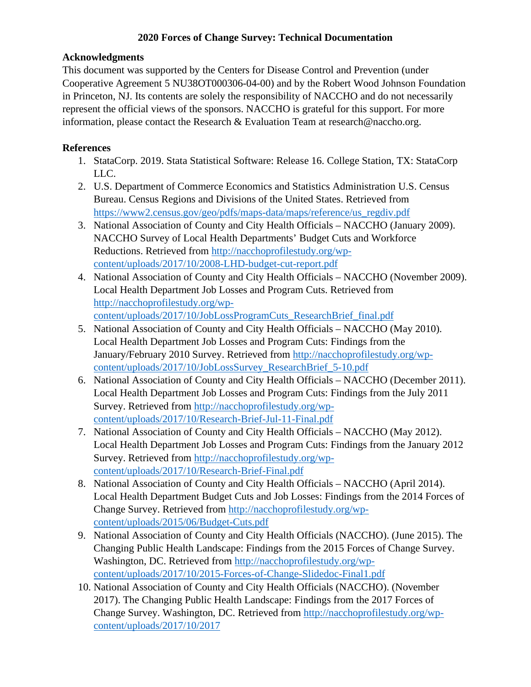# **Acknowledgments**

This document was supported by the Centers for Disease Control and Prevention (under Cooperative Agreement 5 NU38OT000306-04-00) and by the Robert Wood Johnson Foundation in Princeton, NJ. Its contents are solely the responsibility of NACCHO and do not necessarily represent the official views of the sponsors. NACCHO is grateful for this support. For more information, please contact the Research & Evaluation Team at research@naccho.org.

# **References**

- 1. StataCorp. 2019. Stata Statistical Software: Release 16. College Station, TX: StataCorp LLC.
- 2. U.S. Department of Commerce Economics and Statistics Administration U.S. Census Bureau. Census Regions and Divisions of the United States. Retrieved from [https://www2.census.gov/geo/pdfs/maps-data/maps/reference/us\\_regdiv.pdf](https://www2.census.gov/geo/pdfs/maps-data/maps/reference/us_regdiv.pdf)
- 3. National Association of County and City Health Officials NACCHO (January 2009). NACCHO Survey of Local Health Departments' Budget Cuts and Workforce Reductions. Retrieved from [http://nacchoprofilestudy.org/wp](http://nacchoprofilestudy.org/wp-content/uploads/2017/10/2008-LHD-budget-cut-report.pdf)[content/uploads/2017/10/2008-LHD-budget-cut-report.pdf](http://nacchoprofilestudy.org/wp-content/uploads/2017/10/2008-LHD-budget-cut-report.pdf)
- 4. National Association of County and City Health Officials NACCHO (November 2009). Local Health Department Job Losses and Program Cuts. Retrieved from [http://nacchoprofilestudy.org/wp](http://nacchoprofilestudy.org/wp-content/uploads/2017/10/JobLossProgramCuts_ResearchBrief_final.pdf)[content/uploads/2017/10/JobLossProgramCuts\\_ResearchBrief\\_final.pdf](http://nacchoprofilestudy.org/wp-content/uploads/2017/10/JobLossProgramCuts_ResearchBrief_final.pdf)
- 5. National Association of County and City Health Officials NACCHO (May 2010). Local Health Department Job Losses and Program Cuts: Findings from the January/February 2010 Survey. Retrieved from [http://nacchoprofilestudy.org/wp](http://nacchoprofilestudy.org/wp-content/uploads/2017/10/JobLossSurvey_ResearchBrief_5-10.pdf)[content/uploads/2017/10/JobLossSurvey\\_ResearchBrief\\_5-10.pdf](http://nacchoprofilestudy.org/wp-content/uploads/2017/10/JobLossSurvey_ResearchBrief_5-10.pdf)
- 6. National Association of County and City Health Officials NACCHO (December 2011). Local Health Department Job Losses and Program Cuts: Findings from the July 2011 Survey. Retrieved from [http://nacchoprofilestudy.org/wp](http://nacchoprofilestudy.org/wp-content/uploads/2017/10/Research-Brief-Jul-11-Final.pdf)[content/uploads/2017/10/Research-Brief-Jul-11-Final.pdf](http://nacchoprofilestudy.org/wp-content/uploads/2017/10/Research-Brief-Jul-11-Final.pdf)
- 7. National Association of County and City Health Officials NACCHO (May 2012). Local Health Department Job Losses and Program Cuts: Findings from the January 2012 Survey. Retrieved from [http://nacchoprofilestudy.org/wp](http://nacchoprofilestudy.org/wp-content/uploads/2017/10/Research-Brief-Final.pdf)[content/uploads/2017/10/Research-Brief-Final.pdf](http://nacchoprofilestudy.org/wp-content/uploads/2017/10/Research-Brief-Final.pdf)
- 8. National Association of County and City Health Officials NACCHO (April 2014). Local Health Department Budget Cuts and Job Losses: Findings from the 2014 Forces of Change Survey. Retrieved from [http://nacchoprofilestudy.org/wp](http://nacchoprofilestudy.org/wp-content/uploads/2015/06/Budget-Cuts.pdf)[content/uploads/2015/06/Budget-Cuts.pdf](http://nacchoprofilestudy.org/wp-content/uploads/2015/06/Budget-Cuts.pdf)
- 9. National Association of County and City Health Officials (NACCHO). (June 2015). The Changing Public Health Landscape: Findings from the 2015 Forces of Change Survey. Washington, DC. Retrieved from [http://nacchoprofilestudy.org/wp](http://nacchoprofilestudy.org/wp-content/uploads/2017/10/2015-Forces-of-Change-Slidedoc-Final1.pdf)[content/uploads/2017/10/2015-Forces-of-Change-Slidedoc-Final1.pdf](http://nacchoprofilestudy.org/wp-content/uploads/2017/10/2015-Forces-of-Change-Slidedoc-Final1.pdf)
- 10. National Association of County and City Health Officials (NACCHO). (November 2017). The Changing Public Health Landscape: Findings from the 2017 Forces of Change Survey. Washington, DC. Retrieved from [http://nacchoprofilestudy.org/wp](http://nacchoprofilestudy.org/wp-content/uploads/2017/10/2017)[content/uploads/2017/10/2017](http://nacchoprofilestudy.org/wp-content/uploads/2017/10/2017)